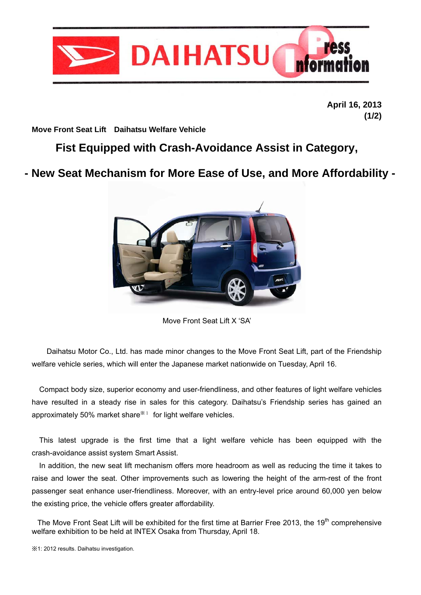

**April 16, 2013 (1/2)** 

**Move Front Seat Lift Daihatsu Welfare Vehicle** 

## **Fist Equipped with Crash-Avoidance Assist in Category,**

# **- New Seat Mechanism for More Ease of Use, and More Affordability -**



Move Front Seat Lift X 'SA'

Daihatsu Motor Co., Ltd. has made minor changes to the Move Front Seat Lift, part of the Friendship welfare vehicle series, which will enter the Japanese market nationwide on Tuesday, April 16.

Compact body size, superior economy and user-friendliness, and other features of light welfare vehicles have resulted in a steady rise in sales for this category. Daihatsu's Friendship series has gained an approximately 50% market share $*1$  for light welfare vehicles.

This latest upgrade is the first time that a light welfare vehicle has been equipped with the crash-avoidance assist system Smart Assist.

In addition, the new seat lift mechanism offers more headroom as well as reducing the time it takes to raise and lower the seat. Other improvements such as lowering the height of the arm-rest of the front passenger seat enhance user-friendliness. Moreover, with an entry-level price around 60,000 yen below the existing price, the vehicle offers greater affordability.

The Move Front Seat Lift will be exhibited for the first time at Barrier Free 2013, the 19<sup>th</sup> comprehensive welfare exhibition to be held at INTEX Osaka from Thursday, April 18.